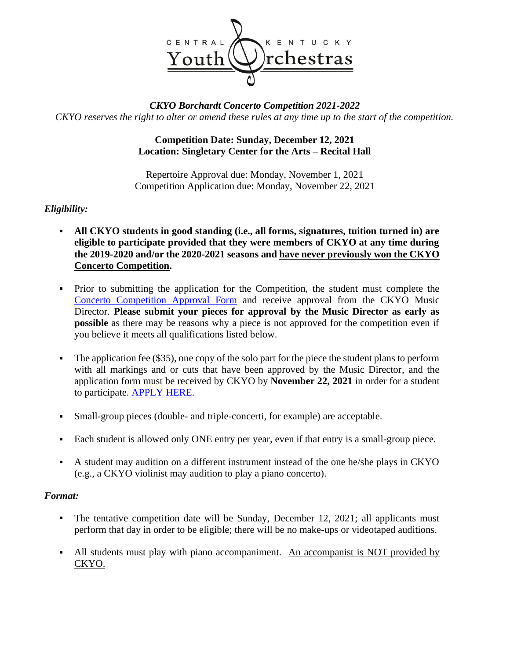

# *CKYO Borchardt Concerto Competition 2021-2022 CKYO reserves the right to alter or amend these rules at any time up to the start of the competition.*

# **Competition Date: Sunday, December 12, 2021 Location: Singletary Center for the Arts – Recital Hall**

Repertoire Approval due: Monday, November 1, 2021 Competition Application due: Monday, November 22, 2021

# *Eligibility:*

- **All CKYO students in good standing (i.e., all forms, signatures, tuition turned in) are eligible to participate provided that they were members of CKYO at any time during the 2019-2020 and/or the 2020-2021 seasons and have never previously won the CKYO Concerto Competition.**
- Prior to submitting the application for the Competition, the student must complete the [Concerto Competition Approval Form](https://form.jotform.com/203236143518045) and receive approval from the CKYO Music Director. **Please submit your pieces for approval by the Music Director as early as possible** as there may be reasons why a piece is not approved for the competition even if you believe it meets all qualifications listed below.
- The application fee (\$35), one copy of the solo part for the piece the student plans to perform  $\blacksquare$ with all markings and or cuts that have been approved by the Music Director, and the application form must be received by CKYO by **November 22, 2021** in order for a student to participate. [APPLY HERE.](https://form.jotform.com/212506004163138)
- Small-group pieces (double- and triple-concerti, for example) are acceptable.  $\blacksquare$
- Each student is allowed only ONE entry per year, even if that entry is a small-group piece.
- A student may audition on a different instrument instead of the one he/she plays in CKYO (e.g., a CKYO violinist may audition to play a piano concerto).

#### *Format:*

- The tentative competition date will be Sunday, December 12, 2021; all applicants must  $\blacksquare$ perform that day in order to be eligible; there will be no make-ups or videotaped auditions.
- All students must play with piano accompaniment. An accompanist is NOT provided by CKYO.